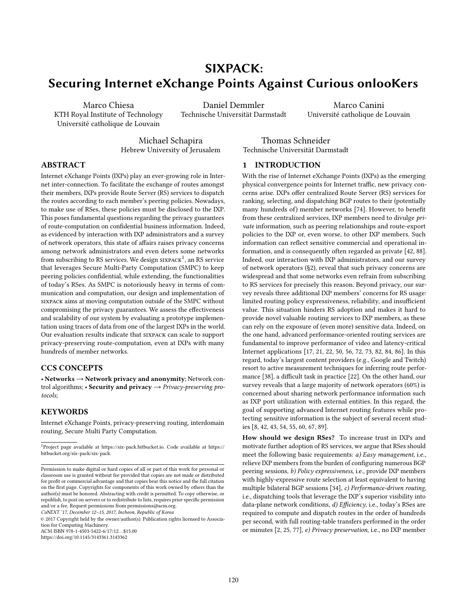# SIXPACK: Securing Internet eXchange Points Against Curious onlooKers

Marco Chiesa KTH Royal Institute of Technology Université catholique de Louvain

Daniel Demmler Technische Universität Darmstadt

Marco Canini Université catholique de Louvain

Michael Schapira Hebrew University of Jerusalem

Thomas Schneider Technische Universität Darmstadt

# ABSTRACT

Internet eXchange Points (IXPs) play an ever-growing role in Internet inter-connection. To facilitate the exchange of routes amongst their members, IXPs provide Route Server (RS) services to dispatch the routes according to each member's peering policies. Nowadays, to make use of RSes, these policies must be disclosed to the IXP. This poses fundamental questions regarding the privacy guarantees of route-computation on confidential business information. Indeed, as evidenced by interaction with IXP administrators and a survey of network operators, this state of affairs raises privacy concerns among network administrators and even deters some networks from subscribing to RS services. We design  $\text{s}\text{rx}$ pack $^1$  $^1$ , an RS service that leverages Secure Multi-Party Computation (SMPC) to keep peering policies confidential, while extending, the functionalities of today's RSes. As SMPC is notoriously heavy in terms of communication and computation, our design and implementation of sixpack aims at moving computation outside of the SMPC without compromising the privacy guarantees. We assess the effectiveness and scalability of our system by evaluating a prototype implementation using traces of data from one of the largest IXPs in the world. Our evaluation results indicate that sixpack can scale to support privacy-preserving route-computation, even at IXPs with many hundreds of member networks.

# CCS CONCEPTS

• Networks  $\rightarrow$  Network privacy and anonymity; Network control algorithms; • Security and privacy  $\rightarrow$  Privacy-preserving protocols;

# **KEYWORDS**

Internet eXchange Points, privacy-preserving routing, interdomain routing, Secure Multi Party Computation.

CoNEXT '17, December 12–15, 2017, Incheon, Republic of Korea

© 2017 Copyright held by the owner/author(s). Publication rights licensed to Association for Computing Machinery. ACM ISBN 978-1-4503-5422-6/17/12. . .\$15.00

<https://doi.org/10.1145/3143361.3143362>

#### 1 INTRODUCTION

With the rise of Internet eXchange Points (IXPs) as the emerging physical convergence points for Internet traffic, new privacy concerns arise. IXPs offer centralized Route Server (RS) services for ranking, selecting, and dispatching BGP routes to their (potentially many hundreds of) member networks [\[74\]](#page-12-0). However, to benefit from these centralized services, IXP members need to divulge private information, such as peering relationships and route-export policies to the IXP or, even worse, to other IXP members. Such information can reflect sensitive commercial and operational information, and is consequently often regarded as private [\[42,](#page-12-1) [88\]](#page-13-0). Indeed, our interaction with IXP administrators, and our survey of network operators ([§2\)](#page-2-0), reveal that such privacy concerns are widespread and that some networks even refrain from subscribing to RS services for precisely this reason. Beyond privacy, our survey reveals three additional IXP members' concerns for RS usage: limited routing policy expressiveness, reliability, and insufficient value. This situation hinders RS adoption and makes it hard to provide novel valuable routing services to IXP members, as these can rely on the exposure of (even more) sensitive data. Indeed, on the one hand, advanced performance-oriented routing services are fundamental to improve performance of video and latency-critical Internet applications [\[17,](#page-11-0) [21,](#page-11-1) [22,](#page-11-2) [50,](#page-12-2) [56,](#page-12-3) [72,](#page-12-4) [73,](#page-12-5) [82,](#page-12-6) [84,](#page-13-1) [86\]](#page-13-2). In this regard, today's largest content providers (e.g., Google and Twitch) resort to active measurement techniques for inferring route performance [\[38\]](#page-12-7), a difficult task in practice [\[22\]](#page-11-2). On the other hand, our survey reveals that a large majority of network operators (60%) is concerned about sharing network performance information such as IXP port utilization with external entities. In this regard, the goal of supporting advanced Internet routing features while protecting sensitive information is the subject of several recent studies [\[8,](#page-11-3) [42,](#page-12-1) [43,](#page-12-8) [54,](#page-12-9) [55,](#page-12-10) [60,](#page-12-11) [67,](#page-12-12) [89\]](#page-13-3).

How should we design RSes? To increase trust in IXPs and motivate further adoption of RS services, we argue that RSes should meet the following basic requirements: a) Easy management, i.e., relieve IXP members from the burden of configuring numerous BGP peering sessions, b) Policy expressiveness, i.e., provide IXP members with highly-expressive route selection at least equivalent to having multiple bilateral BGP sessions [\[34\]](#page-12-13), c) Performance-driven routing, i.e., dispatching tools that leverage the IXP's superior visibility into data-plane network conditions, d) Efficiency, i.e., today's RSes are required to compute and dispatch routes in the order of hundreds per second, with full routing-table transfers performed in the order or minutes [\[2,](#page-11-4) [25,](#page-12-14) [77\]](#page-12-15), e) Privacy preservation, i.e., no IXP member

<span id="page-0-0"></span><sup>1</sup>Project page available at [https://six-pack.bitbucket.io.](https://six-pack.bitbucket.io) Code available at [https://](https://bitbucket.org/six-pack/six-pack) [bitbucket.org/six-pack/six-pack.](https://bitbucket.org/six-pack/six-pack)

Permission to make digital or hard copies of all or part of this work for personal or classroom use is granted without fee provided that copies are not made or distributed for profit or commercial advantage and that copies bear this notice and the full citation on the first page. Copyrights for components of this work owned by others than the author(s) must be honored. Abstracting with credit is permitted. To copy otherwise, or republish, to post on servers or to redistribute to lists, requires prior specific permission and/or a fee. Request permissions from permissions@acm.org.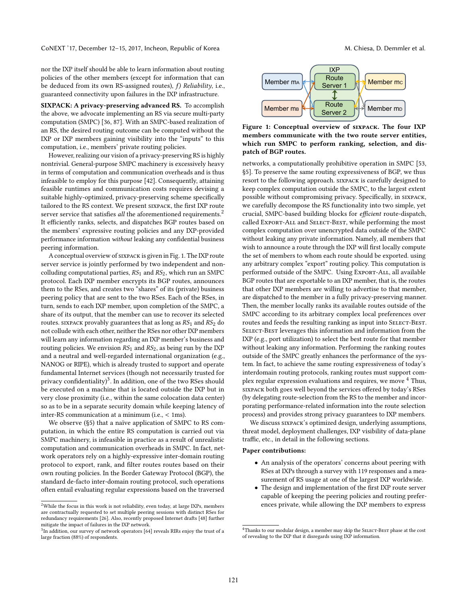nor the IXP itself should be able to learn information about routing policies of the other members (except for information that can be deduced from its own RS-assigned routes), f) Reliability, i.e., guaranteed connectivity upon failures in the IXP infrastructure.

SIXPACK: A privacy-preserving advanced RS. To accomplish the above, we advocate implementing an RS via secure multi-party computation (SMPC) [\[36,](#page-12-16) [87\]](#page-13-4). With an SMPC-based realization of an RS, the desired routing outcome can be computed without the IXP or IXP members gaining visibility into the "inputs" to this computation, i.e., members' private routing policies.

However, realizing our vision of a privacy-preserving RS is highly nontrivial. General-purpose SMPC machinery is excessively heavy in terms of computation and communication overheads and is thus infeasible to employ for this purpose [\[42\]](#page-12-1). Consequently, attaining feasible runtimes and communication costs requires devising a suitable highly-optimized, privacy-preserving scheme specifically tailored to the RS context. We present sixpack, the first IXP route server service that satisfies all the aforementioned requirements.<sup>[2](#page-1-0)</sup> It efficiently ranks, selects, and dispatches BGP routes based on the members' expressive routing policies and any IXP-provided performance information without leaking any confidential business peering information.

A conceptual overview of sixpack is given in Fig. [1.](#page-1-1) The IXP route server service is jointly performed by two independent and noncolluding computational parties,  $RS_1$  and  $RS_2$ , which run an SMPC protocol. Each IXP member encrypts its BGP routes, announces them to the RSes, and creates two "shares" of its (private) business peering policy that are sent to the two RSes. Each of the RSes, in turn, sends to each IXP member, upon completion of the SMPC, a share of its output, that the member can use to recover its selected routes. SIXPACK provably guarantees that as long as  $RS<sub>1</sub>$  and  $RS<sub>2</sub>$  do not collude with each other, neither the RSes nor other IXP members will learn any information regarding an IXP member's business and routing policies. We envision  $RS_1$  and  $RS_2$ , as being run by the IXP and a neutral and well-regarded international organization (e.g., NANOG or RIPE), which is already trusted to support and operate fundamental Internet services (though not necessarily trusted for privacy confidentiality) $^3$  $^3$ . In addition, one of the two RSes should be executed on a machine that is located outside the IXP but in very close proximity (i.e., within the same colocation data center) so as to be in a separate security domain while keeping latency of inter-RS communication at a minimum (i.e., < 1ms).

We observe ([§5\)](#page-4-0) that a naïve application of SMPC to RS computation, in which the entire RS computation is carried out via SMPC machinery, is infeasible in practice as a result of unrealistic computation and communication overheads in SMPC. In fact, network operators rely on a highly-expressive inter-domain routing protocol to export, rank, and filter routes routes based on their own routing policies. In the Border Gateway Protocol (BGP), the standard de-facto inter-domain routing protocol, such operations often entail evaluating regular expressions based on the traversed



<span id="page-1-1"></span>

Figure 1: Conceptual overview of sixpack. The four IXP members communicate with the two route server entities, which run SMPC to perform ranking, selection, and dispatch of BGP routes.

networks, a computationally prohibitive operation in SMPC [\[53,](#page-12-20) §5]. To preserve the same routing expressiveness of BGP, we thus resort to the following approach. sixpack is carefully designed to keep complex computation outside the SMPC, to the largest extent possible without compromising privacy. Specifically, in sixpack, we carefully decompose the RS functionality into two simple, yet crucial, SMPC-based building blocks for efficient route-dispatch, called Export-All and Select-Best, while performing the most complex computation over unencrypted data outside of the SMPC without leaking any private information. Namely, all members that wish to announce a route through the IXP will first locally compute the set of members to whom each route should be exported. using any arbitrary complex "export" routing policy. This computation is performed outside of the SMPC. Using Export-All, all available BGP routes that are exportable to an IXP member, that is, the routes that other IXP members are willing to advertise to that member, are dispatched to the member in a fully privacy-preserving manner. Then, the member locally ranks its available routes outside of the SMPC according to its arbitrary complex local preferences over routes and feeds the resulting ranking as input into SELECT-BEST. SELECT-BEST leverages this information and information from the IXP (e.g., port utilization) to select the best route for that member without leaking any information. Performing the ranking routes outside of the SMPC greatly enhances the performance of the system. In fact, to achieve the same routing expressiveness of today's interdomain routing protocols, ranking routes must support com-plex regular expression evaluations and requires, we move <sup>[4](#page-1-3)</sup> Thus, sixpack both goes well beyond the services offered by today's RSes (by delegating route-selection from the RS to the member and incorporating performance-related information into the route selection process) and provides strong privacy guarantees to IXP members.

We discuss sixpack's optimized design, underlying assumptions, threat model, deployment challenges, IXP visibility of data-plane traffic, etc., in detail in the following sections.

#### Paper contributions:

- An analysis of the operators' concerns about peering with RSes at IXPs through a survey with 119 responses and a measurement of RS usage at one of the largest IXP worldwide.
- The design and implementation of the first IXP route server capable of keeping the peering policies and routing preferences private, while allowing the IXP members to express

<span id="page-1-0"></span> $^2$ While the focus in this work is not reliability, even today, at large IXPs, members are contractually requested to set multiple peering sessions with distinct RSes for redundancy requirements [\[26\]](#page-12-17). Also, recently proposed Internet drafts [\[48\]](#page-12-18) further mitigate the impact of failures in the IXP network.

<span id="page-1-2"></span><sup>&</sup>lt;sup>3</sup>In addition, our survey of network operators [\[64\]](#page-12-19) reveals RIRs enjoy the trust of a large fraction (88%) of respondents.

<span id="page-1-3"></span><sup>&</sup>lt;sup>4</sup>Thanks to our modular design, a member may skip the SELECT-BEST phase at the cost of revealing to the IXP that it disregards using IXP information.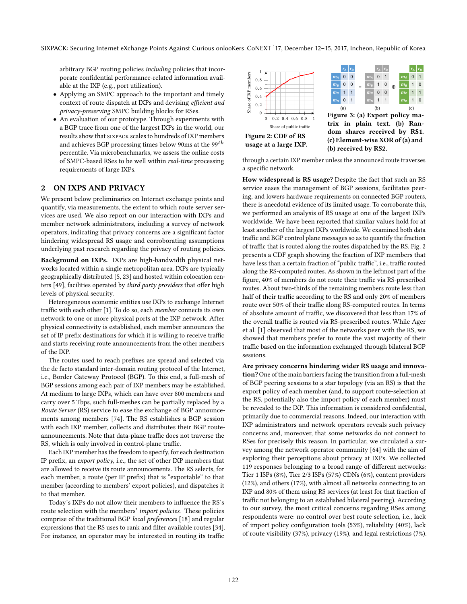arbitrary BGP routing policies including policies that incorporate confidential performance-related information available at the IXP (e.g., port utilization).

- Applying an SMPC approach to the important and timely context of route dispatch at IXPs and devising efficient and privacy-preserving SMPC building blocks for RSes.
- An evaluation of our prototype. Through experiments with a BGP trace from one of the largest IXPs in the world, our results show that sixpack scales to hundreds of IXP members and achieves BGP processing times below 90ms at the 99 $^{th}$ percentile. Via microbenchmarks, we assess the online costs of SMPC-based RSes to be well within real-time processing requirements of large IXPs.

# <span id="page-2-0"></span>2 ON IXPS AND PRIVACY

We present below preliminaries on Internet exchange points and quantify, via measurements, the extent to which route server services are used. We also report on our interaction with IXPs and member network administrators, including a survey of network operators, indicating that privacy concerns are a significant factor hindering widespread RS usage and corroborating assumptions underlying past research regarding the privacy of routing policies.

Background on IXPs. IXPs are high-bandwidth physical networks located within a single metropolitan area. IXPs are typically geographically distributed [\[5,](#page-11-5) [23\]](#page-11-6) and hosted within colocation centers [\[49\]](#page-12-21), facilities operated by third party providers that offer high levels of physical security.

Heterogeneous economic entities use IXPs to exchange Internet traffic with each other [\[1\]](#page-11-7). To do so, each member connects its own network to one or more physical ports at the IXP network. After physical connectivity is established, each member announces the set of IP prefix destinations for which it is willing to receive traffic and starts receiving route announcements from the other members of the IXP.

The routes used to reach prefixes are spread and selected via the de facto standard inter-domain routing protocol of the Internet, i.e., Border Gateway Protocol (BGP). To this end, a full-mesh of BGP sessions among each pair of IXP members may be established. At medium to large IXPs, which can have over 800 members and carry over 5 Tbps, such full-meshes can be partially replaced by a Route Server (RS) service to ease the exchange of BGP announcements among members [\[74\]](#page-12-0). The RS establishes a BGP session with each IXP member, collects and distributes their BGP routeannouncements. Note that data-plane traffic does not traverse the RS, which is only involved in control-plane traffic.

Each IXP member has the freedom to specify, for each destination IP prefix, an export policy, i.e., the set of other IXP members that are allowed to receive its route announcements. The RS selects, for each member, a route (per IP prefix) that is "exportable" to that member (according to members' export policies), and dispatches it to that member.

Today's IXPs do not allow their members to influence the RS's route selection with the members' import policies. These policies comprise of the traditional BGP local preferences [\[18\]](#page-11-8) and regular expressions that the RS uses to rank and filter available routes [\[34\]](#page-12-13). For instance, an operator may be interested in routing its traffic

<span id="page-2-1"></span>

through a certain IXP member unless the announced route traverses a specific network.

How widespread is RS usage? Despite the fact that such an RS service eases the management of BGP sessions, facilitates peering, and lowers hardware requirements on connected BGP routers, there is anecdotal evidence of its limited usage. To corroborate this, we performed an analysis of RS usage at one of the largest IXPs worldwide. We have been reported that similar values hold for at least another of the largest IXPs worldwide. We examined both data traffic and BGP control plane messages so as to quantify the fraction of traffic that is routed along the routes dispatched by the RS. Fig. [2](#page-2-1) presents a CDF graph showing the fraction of IXP members that have less than a certain fraction of "public traffic", i.e., traffic routed along the RS-computed routes. As shown in the leftmost part of the figure, 40% of members do not route their traffic via RS-prescribed routes. About two-thirds of the remaining members route less than half of their traffic according to the RS and only 20% of members route over 50% of their traffic along RS-computed routes. In terms of absolute amount of traffic, we discovered that less than 17% of the overall traffic is routed via RS-prescribed routes. While Ager et al. [\[1\]](#page-11-7) observed that most of the networks peer with the RS, we showed that members prefer to route the vast majority of their traffic based on the information exchanged through bilateral BGP sessions.

Are privacy concerns hindering wider RS usage and innovation? One of the main barriers facing the transition from a full-mesh of BGP peering sessions to a star topology (via an RS) is that the export policy of each member (and, to support route-selection at the RS, potentially also the import policy of each member) must be revealed to the IXP. This information is considered confidential, primarily due to commercial reasons. Indeed, our interaction with IXP administrators and network operators reveals such privacy concerns and, moreover, that some networks do not connect to RSes for precisely this reason. In particular, we circulated a survey among the network operator community [\[64\]](#page-12-19) with the aim of exploring their perceptions about privacy at IXPs. We collected 119 responses belonging to a broad range of different networks: Tier 1 ISPs (8%), Tier 2/3 ISPs (57%) CDNs (6%), content providers (12%), and others (17%), with almost all networks connecting to an IXP and 80% of them using RS services (at least for that fraction of traffic not belonging to an established bilateral peering). According to our survey, the most critical concerns regarding RSes among respondents were: no control over best route selection, i.e., lack of import policy configuration tools (53%), reliability (40%), lack of route visibility (37%), privacy (19%), and legal restrictions (7%).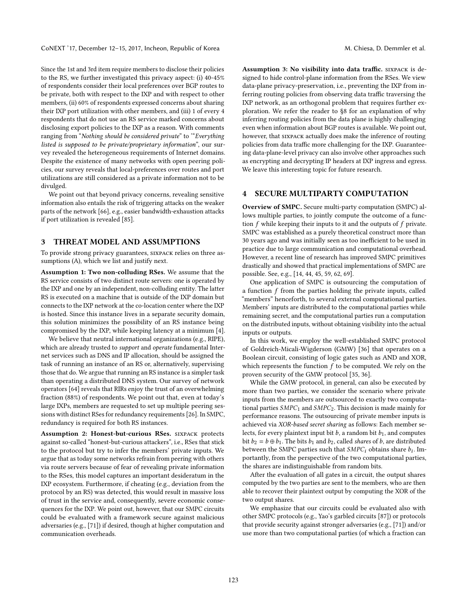Since the 1st and 3rd item require members to disclose their policies to the RS, we further investigated this privacy aspect: (i) 40-45% of respondents consider their local preferences over BGP routes to be private, both with respect to the IXP and with respect to other members, (ii) 60% of respondents expressed concerns about sharing their IXP port utilization with other members, and (iii) 1 of every 4 respondents that do not use an RS service marked concerns about disclosing export policies to the IXP as a reason. With comments ranging from "Nothing should be considered private" to "Everything listed is supposed to be private/proprietary information", our survey revealed the heterogeneous requirements of Internet domains. Despite the existence of many networks with open peering policies, our survey reveals that local-preferences over routes and port utilizations are still considered as a private information not to be divulged.

We point out that beyond privacy concerns, revealing sensitive information also entails the risk of triggering attacks on the weaker parts of the network [\[66\]](#page-12-22), e.g., easier bandwidth-exhaustion attacks if port utilization is revealed [\[85\]](#page-13-5).

#### 3 THREAT MODEL AND ASSUMPTIONS

To provide strong privacy guarantees, sixpack relies on three assumptions (A), which we list and justify next.

Assumption 1: Two non-colluding RSes. We assume that the RS service consists of two distinct route servers: one is operated by the IXP and one by an independent, non-colluding entity. The latter RS is executed on a machine that is outside of the IXP domain but connects to the IXP network at the co-location center where the IXP is hosted. Since this instance lives in a separate security domain, this solution minimizes the possibility of an RS instance being compromised by the IXP, while keeping latency at a minimum [\[4\]](#page-11-9).

We believe that neutral international organizations (e.g., RIPE), which are already trusted to *support* and *operate* fundamental Internet services such as DNS and IP allocation, should be assigned the task of running an instance of an RS or, alternatively, supervising those that do. We argue that running an RS instance is a simpler task than operating a distributed DNS system. Our survey of network operators [\[64\]](#page-12-19) reveals that RIRs enjoy the trust of an overwhelming fraction (88%) of respondents. We point out that, even at today's large IXPs, members are requested to set up multiple peering sessions with distinct RSes for redundancy requirements [\[26\]](#page-12-17). In SMPC, redundancy is required for both RS instances.

Assumption 2: Honest-but-curious RSes. sixpack protects against so-called "honest-but-curious attackers", i.e., RSes that stick to the protocol but try to infer the members' private inputs. We argue that as today some networks refrain from peering with others via route servers because of fear of revealing private information to the RSes, this model captures an important desideratum in the IXP ecosystem. Furthermore, if cheating (e.g., deviation from the protocol by an RS) was detected, this would result in massive loss of trust in the service and, consequently, severe economic consequences for the IXP. We point out, however, that our SMPC circuits could be evaluated with a framework secure against malicious adversaries (e.g., [\[71\]](#page-12-23)) if desired, though at higher computation and communication overheads.

Assumption 3: No visibility into data traffic. sixpack is designed to hide control-plane information from the RSes. We view data-plane privacy-preservation, i.e., preventing the IXP from inferring routing policies from observing data traffic traversing the IXP network, as an orthogonal problem that requires further exploration. We refer the reader to [§8](#page-10-0) for an explanation of why inferring routing policies from the data plane is highly challenging even when information about BGP routes is available. We point out, however, that sixpack actually does make the inference of routing policies from data traffic more challenging for the IXP. Guaranteeing data-plane-level privacy can also involve other approaches such as encrypting and decrypting IP headers at IXP ingress and egress. We leave this interesting topic for future research.

# 4 SECURE MULTIPARTY COMPUTATION

Overview of SMPC. Secure multi-party computation (SMPC) allows multiple parties, to jointly compute the outcome of a function  $f$  while keeping their inputs to it and the outputs of  $f$  private. SMPC was established as a purely theoretical construct more than 30 years ago and was initially seen as too inefficient to be used in practice due to large communication and computational overhead. However, a recent line of research has improved SMPC primitives drastically and showed that practical implementations of SMPC are possible. See, e.g., [\[14,](#page-11-10) [44,](#page-12-24) [45,](#page-12-25) [59,](#page-12-26) [62,](#page-12-27) [69\]](#page-12-28).

One application of SMPC is outsourcing the computation of a function  $f$  from the parties holding the private inputs, called "members" henceforth, to several external computational parties. Members' inputs are distributed to the computational parties while remaining secret, and the computational parties run a computation on the distributed inputs, without obtaining visibility into the actual inputs or outputs.

In this work, we employ the well-established SMPC protocol of Goldreich-Micali-Wigderson (GMW) [\[36\]](#page-12-16) that operates on a Boolean circuit, consisting of logic gates such as AND and XOR, which represents the function  $f$  to be computed. We rely on the proven security of the GMW protocol [\[35,](#page-12-29) [36\]](#page-12-16).

While the GMW protocol, in general, can also be executed by more than two parties, we consider the scenario where private inputs from the members are outsourced to exactly two computational parties  $SMPC_1$  and  $SMPC_2$ . This decision is made mainly for performance reasons. The outsourcing of private member inputs is achieved via XOR-based secret sharing as follows: Each member selects, for every plaintext input bit  $b$ , a random bit  $b_1$ , and computes bit  $b_2 = b \oplus b_1$ . The bits  $b_1$  and  $b_2$ , called shares of b, are distributed between the SMPC parties such that  $SMPC_i$  obtains share  $b_i$ . Im-<br>portantly, from the perspective of the two computational parties. portantly, from the perspective of the two computational parties, the shares are indistinguishable from random bits.

After the evaluation of all gates in a circuit, the output shares computed by the two parties are sent to the members, who are then able to recover their plaintext output by computing the XOR of the two output shares.

We emphasize that our circuits could be evaluated also with other SMPC protocols (e.g., Yao's garbled circuits [\[87\]](#page-13-4)) or protocols that provide security against stronger adversaries (e.g., [\[71\]](#page-12-23)) and/or use more than two computational parties (of which a fraction can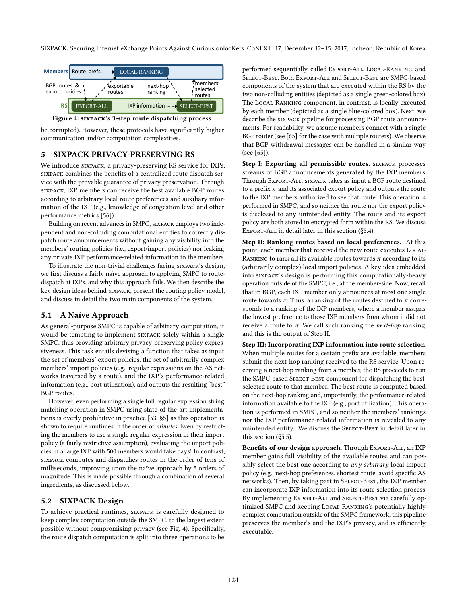<span id="page-4-1"></span>

|                                     | <b>Members</b> Route prefs. $-\rightarrow$ | LOCAL-RANKING                                |                                                |
|-------------------------------------|--------------------------------------------|----------------------------------------------|------------------------------------------------|
| BGP routes & \<br>export policies ' | routes                                     | exportable<br>next-hop<br>ranking            | $\tau$ members'<br>selected<br><i>i</i> routes |
| <b>RS</b>                           | EXPORT-ALL                                 | $IXP$ information $-\rightarrow$ SELECT-BEST |                                                |

Figure 4: sixpack's 3-step route dispatching process.

be corrupted). However, these protocols have significantly higher communication and/or computation complexities.

# <span id="page-4-0"></span>5 SIXPACK PRIVACY-PRESERVING RS

We introduce sixpack, a privacy-preserving RS service for IXPs. sixpack combines the benefits of a centralized route dispatch service with the provable guarantee of privacy preservation. Through sixpack, IXP members can receive the best available BGP routes according to arbitrary local route preferences and auxiliary information of the IXP (e.g., knowledge of congestion level and other performance metrics [\[56\]](#page-12-3)).

Building on recent advances in SMPC, sixpack employs two independent and non-colluding computational entities to correctly dispatch route announcements without gaining any visibility into the members' routing policies (i.e., export/import policies) nor leaking any private IXP performance-related information to the members.

To illustrate the non-trivial challenges facing sixpack's design, we first discuss a fairly naïve approach to applying SMPC to routedispatch at IXPs, and why this approach fails. We then describe the key design ideas behind sixpack, present the routing policy model, and discuss in detail the two main components of the system.

# 5.1 A Naïve Approach

As general-purpose SMPC is capable of arbitrary computation, it would be tempting to implement sixpack solely within a single SMPC, thus providing arbitrary privacy-preserving policy expressiveness. This task entails devising a function that takes as input the set of members' export policies, the set of arbitrarily complex members' import policies (e.g., regular expressions on the AS networks traversed by a route), and the IXP's performance-related information (e.g., port utilization), and outputs the resulting "best" BGP routes.

However, even performing a single full regular expression string matching operation in SMPC using state-of-the-art implementations is overly prohibitive in practice [\[53,](#page-12-20) §5] as this operation is shown to require runtimes in the order of minutes. Even by restricting the members to use a single regular expression in their import policy (a fairly restrictive assumption), evaluating the import policies in a large IXP with 500 members would take days! In contrast, sixpack computes and dispatches routes in the order of tens of milliseconds, improving upon the naïve approach by 5 orders of magnitude. This is made possible through a combination of several ingredients, as discussed below.

# 5.2 SIXPACK Design

To achieve practical runtimes, sixpack is carefully designed to keep complex computation outside the SMPC, to the largest extent possible without compromising privacy (see Fig. [4\)](#page-4-1). Specifically, the route dispatch computation is split into three operations to be

performed sequentially, called Export-All, Local-Ranking, and Select-Best. Both Export-All and Select-Best are SMPC-based components of the system that are executed within the RS by the two non-colluding entities (depicted as a single green-colored box). The Local-Ranking component, in contrast, is locally executed by each member (depicted as a single blue-colored box). Next, we describe the sixpack pipeline for processing BGP route announcements. For readability, we assume members connect with a single BGP router (see [\[65\]](#page-12-30) for the case with multiple routers). We observe that BGP withdrawal messages can be handled in a similar way (see [\[65\]](#page-12-30)).

Step I: Exporting all permissible routes. SIXPACK processes streams of BGP announcements generated by the IXP members. Through Export-All, sixpack takes as input a BGP route destined to a prefix  $\pi$  and its associated export policy and outputs the route to the IXP members authorized to see that route. This operation is performed in SMPC, and so neither the route nor the export policy is disclosed to any unintended entity. The route and its export policy are both stored in encrypted form within the RS. We discuss Export-All in detail later in this section ([§5.4\)](#page-5-0).

Step II: Ranking routes based on local preferences. At this point, each member that received the new route executes Local-RANKING to rank all its available routes towards  $\pi$  according to its (arbitrarily complex) local import policies. A key idea embedded into sixpack's design is performing this computationally-heavy operation outside of the SMPC, i.e., at the member-side. Now, recall that in BGP, each IXP member only announces at most one single route towards  $\pi$ . Thus, a ranking of the routes destined to  $\pi$  corresponds to a ranking of the IXP members, where a member assigns the lowest preference to those IXP members from whom it did not receive a route to  $\pi$ . We call such ranking the *next-hop* ranking, and this is the output of Step II.

Step III: Incorporating IXP information into route selection. When multiple routes for a certain prefix are available, members submit the next-hop ranking received to the RS service. Upon receiving a next-hop ranking from a member, the RS proceeds to run the SMPC-based SELECT-BEST component for dispatching the bestselected route to that member. The best route is computed based on the next-hop ranking and, importantly, the performance-related information available to the IXP (e.g., port utilization). This operation is performed in SMPC, and so neither the members' rankings nor the IXP performance-related information is revealed to any unintended entity. We discuss the SELECT-BEST in detail later in this section ([§5.5\)](#page-6-0).

Benefits of our design approach. Through Export-All, an IXP member gains full visibility of the available routes and can possibly select the best one according to any arbitrary local import policy (e.g., next-hop preferences, shortest route, avoid specific AS networks). Then, by taking part in Select-Best, the IXP member can incorporate IXP information into its route selection process. By implementing Export-ALL and SELECT-BEST via carefully optimized SMPC and keeping Local-Ranking's potentially highly complex computation outside of the SMPC framework, this pipeline preserves the member's and the IXP's privacy, and is efficiently executable.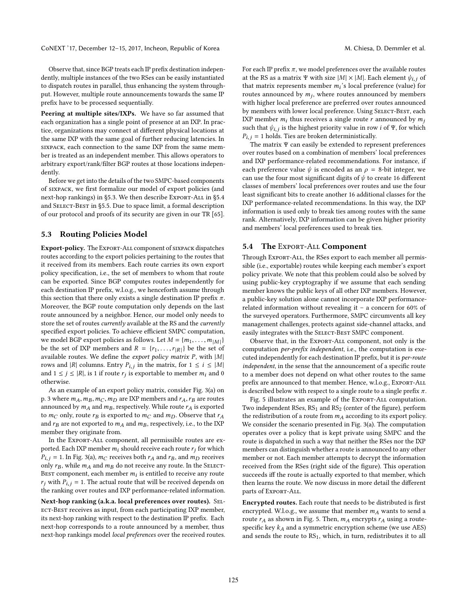Observe that, since BGP treats each IP prefix destination independently, multiple instances of the two RSes can be easily instantiated to dispatch routes in parallel, thus enhancing the system throughput. However, multiple route announcements towards the same IP prefix have to be processed sequentially.

Peering at multiple sites/IXPs. We have so far assumed that each organization has a single point of presence at an IXP. In practice, organizations may connect at different physical locations at the same IXP with the same goal of further reducing latencies. In sixpack, each connection to the same IXP from the same member is treated as an independent member. This allows operators to arbitrary export/rank/filter BGP routes at those locations independently.

Before we get into the details of the two SMPC-based components of sixpack, we first formalize our model of export policies (and next-hop rankings) in [§5.3.](#page-5-1) We then describe Export-ALL in [§5.4](#page-5-0) and SELECT-BEST in [§5.5.](#page-6-0) Due to space limit, a formal description of our protocol and proofs of its security are given in our TR [\[65\]](#page-12-30).

### <span id="page-5-1"></span>5.3 Routing Policies Model

Export-policy. The Export-All component of sixpack dispatches routes according to the export policies pertaining to the routes that it received from its members. Each route carries its own export policy specification, i.e., the set of members to whom that route can be exported. Since BGP computes routes independently for each destination IP prefix, w.l.o.g., we henceforth assume through this section that there only exists a single destination IP prefix  $\pi$ . Moreover, the BGP route computation only depends on the last route announced by a neighbor. Hence, our model only needs to store the set of routes currently available at the RS and the currently specified export policies. To achieve efficient SMPC computation, we model BGP export policies as follows. Let  $M = \{m_1, \ldots, m_{|M|}\}$ <br>he the set of IXP members and  $R = \{r_1, \ldots, r_{|M|}\}$ be the set of IXP members and  $R = \{r_1, \ldots, r_{|R|}\}\$  be the set of available routes. We define the export policy matrix P, with [M]. available routes. We define the export policy matrix  $P$ , with  $|M|$ rows and |R| columns. Entry  $P_{i,j}$  in the matrix, for  $1 \le i \le |M|$ <br>and  $1 \le i \le |R|$  is 1 if route r, is exportable to member m, and 0 and  $1 \le j \le |R|$ , is 1 if route  $r_j$  is exportable to member  $m_i$  and 0 otherwise. otherwise.

As an example of an export policy matrix, consider Fig. [3\(](#page-2-1)a) on p. [3](#page-2-1) where  $m_A, m_B, m_C, m_D$  are IXP members and  $r_A, r_B$  are routes announced by  $m_A$  and  $m_B$ , respectively. While route  $r_A$  is exported to  $m_C$  only, route  $r_B$  is exported to  $m_C$  and  $m_D$ . Observe that  $r_A$ and  $r_B$  are not exported to  $m_A$  and  $m_B$ , respectively, i.e., to the IXP member they originate from.

In the Export-All component, all permissible routes are exported. Each IXP member  $m_i$  should receive each route  $r_j$  for which  $P_{i,j} = 1$ . In Fig. [3\(](#page-2-1)a),  $m_C$  receives both  $r_A$  and  $r_B$ , and  $m_D$  receives only  $r_B$ , while  $m_A$  and  $m_B$  do not receive any route. In the SELECT-Best component, each member  $m_i$  is entitled to receive any route<br>r, with  $P_{i,i} = 1$ . The actual route that will be received depends on  $r_j$  with  $P_{i,j} = 1$ . The actual route that will be received depends on the ranking over routes and IXP performance-related information.

Next-hop ranking (a.k.a. local preferences over routes). Sel-ECT-BEST receives as input, from each participating IXP member, its next-hop ranking with respect to the destination IP prefix. Each next-hop corresponds to a route announced by a member, thus next-hop rankings model local preferences over the received routes.

For each IP prefix  $\pi$ , we model preferences over the available routes at the RS as a matrix Ψ with size  $|M| \times |M|$ . Each element  $\psi_{i,j}$  of that matrix represents member  $m_i$ 's local preference (value) for<br>routes announced by  $m_i$ , where routes announced by members routes announced by  $m_j$ , where routes announced by members<br>with bigher local preference are preferred over routes announced with higher local preference are preferred over routes announced by members with lower local preference. Using SELECT-BEST, each IXP member  $m_i$  thus receives a single route r announced by  $m_j$ such that  $\psi_{i,j}$  is the highest priority value in row *i* of Ψ, for which  $P_{i,j} = 1$  holds. Ties are broken deterministically  $P_{i,j} = 1$  holds. Ties are broken deterministically.

The matrix Ψ can easily be extended to represent preferences over routes based on a combination of members' local preferences and IXP performance-related recommendations. For instance, if each preference value  $\psi$  is encoded as an  $\rho = 8$ -bit integer, we can use the four most significant digits of  $\psi$  to create 16 different classes of members' local preferences over routes and use the four least significant bits to create another 16 additional classes for the IXP performance-related recommendations. In this way, the IXP information is used only to break ties among routes with the same rank. Alternatively, IXP information can be given higher priority and members' local preferences used to break ties.

#### <span id="page-5-0"></span>5.4 The EXPORT-ALL Component

Through Export-All, the RSes export to each member all permissible (i.e., exportable) routes while keeping each member's export policy private. We note that this problem could also be solved by using public-key cryptography if we assume that each sending member knows the public keys of all other IXP members. However, a public-key solution alone cannot incorporate IXP performancerelated information without revealing it – a concern for 60% of the surveyed operators. Furthermore, SMPC circumvents all key management challenges, protects against side-channel attacks, and easily integrates with the SELECT-BEST SMPC component.

Observe that, in the Export-All component, not only is the computation *per-prefix independent*, i.e., the computation is executed independently for each destination IP prefix, but it is *per-route* independent, in the sense that the announcement of a specific route to a member does not depend on what other routes to the same prefix are announced to that member. Hence, w.l.o.g., Export-ALL is described below with respect to a single route to a single prefix  $\pi$ .

Fig. [5](#page-6-1) illustrates an example of the Export-ALL computation. Two independent RSes,  $RS<sub>1</sub>$  and  $RS<sub>2</sub>$  (center of the figure), perform the redistribution of a route from  $m_A$  according to its export policy. We consider the scenario presented in Fig. [3\(](#page-2-1)a). The computation operates over a policy that is kept private using SMPC and the route is dispatched in such a way that neither the RSes nor the IXP members can distinguish whether a route is announced to any other member or not. Each member attempts to decrypt the information received from the RSes (right side of the figure). This operation succeeds iff the route is actually exported to that member, which then learns the route. We now discuss in more detail the different parts of Export-All.

Encrypted routes. Each route that needs to be distributed is first encrypted. W.l.o.g., we assume that member  $m_A$  wants to send a route  $r_A$  as shown in Fig. [5.](#page-6-1) Then,  $m_A$  encrypts  $r_A$  using a routespecific key  $k_A$  and a symmetric encryption scheme (we use AES) and sends the route to  $RS<sub>1</sub>$ , which, in turn, redistributes it to all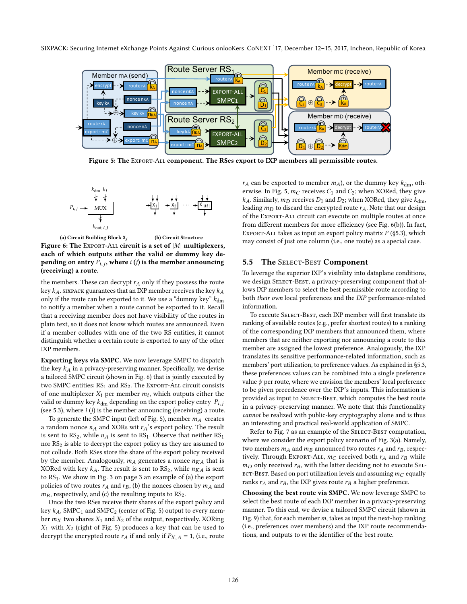<span id="page-6-1"></span>

Figure 5: The Export-All component. The RSes export to IXP members all permissible routes.

<span id="page-6-2"></span>

(a) Circuit Building Block  $X_i$ (b) Circuit Structure Figure 6: The EXPORT-ALL circuit is a set of  $|M|$  multiplexers, each of which outputs either the valid or dummy key depending on entry  $P_{i,j}$ , where  $i(j)$  is the member announcing<br>(receiving) a route (receiving) a route.

the members. These can decrypt  $r_A$  only if they possess the route key  $k_A$ . sixpack guarantees that an IXP member receives the key  $k_A$ only if the route can be exported to it. We use a "dummy key"  $k_{dm}$ to notify a member when a route cannot be exported to it. Recall that a receiving member does not have visibility of the routes in plain text, so it does not know which routes are announced. Even if a member colludes with one of the two RS entities, it cannot distinguish whether a certain route is exported to any of the other IXP members.

Exporting keys via SMPC. We now leverage SMPC to dispatch the key  $k_A$  in a privacy-preserving manner. Specifically, we devise a tailored SMPC circuit (shown in Fig. [6\)](#page-6-2) that is jointly executed by two SMPC entities:  $RS_1$  and  $RS_2$ . The Export-ALL circuit consists of one multiplexer  $X_i$  per member  $m_i$ , which outputs either the valid or dummy key  $k_i$ , depending on the export policy entry  $P_i$ . valid or dummy key  $k_{dm}$  depending on the export policy entry  $P_{i,j}$ (see [5.3\)](#page-5-1), where  $i$  ( $j$ ) is the member announcing (receiving) a route.

To generate the SMPC input (left of Fig. [5\)](#page-6-1), member  $m_A$  creates a random nonce  $n_A$  and XORs wit  $r_A$ 's export policy. The result is sent to  $RS_2$ , while  $n_A$  is sent to  $RS_1$ . Observe that neither  $RS_1$ nor RS2 is able to decrypt the export policy as they are assumed to not collude. Both RSes store the share of the export policy received by the member. Analogously,  $m_A$  generates a nonce  $n_{KA}$  that is XORed with key  $k_A$ . The result is sent to RS<sub>2</sub>, while  $n_{KA}$  is sent to RS1. We show in Fig. [3](#page-2-1) on page [3](#page-2-1) an example of (a) the export policies of two routes  $r_A$  and  $r_B$ , (b) the nonces chosen by  $m_A$  and  $m_B$ , respectively, and (c) the resulting inputs to  $RS_2$ .

Once the two RSes receive their shares of the export policy and key  $k_A$ , SMPC<sub>1</sub> and SMPC<sub>2</sub> (center of Fig. [5\)](#page-6-1) output to every member  $m_X$  two shares  $X_1$  and  $X_2$  of the output, respectively. XORing  $X_1$  with  $X_2$  (right of Fig. [5\)](#page-6-1) produces a key that can be used to decrypt the encrypted route  $r_A$  if and only if  $P_{X,A} = 1$ , (i.e., route

 $r_A$  can be exported to member  $m_A$ ), or the dummy key  $k_{dm}$ , oth-erwise. In Fig. [5,](#page-6-1)  $m<sub>C</sub>$  receives  $C<sub>1</sub>$  and  $C<sub>2</sub>$ ; when XORed, they give  $k_A$ . Similarly,  $m_D$  receives  $D_1$  and  $D_2$ ; when XORed, they give  $k_{dm}$ , leading  $m_D$  to discard the encrypted route  $r_A$ . Note that our design of the Export-All circuit can execute on multiple routes at once from different members for more efficiency (see Fig. [6\(](#page-6-2)b)). In fact, EXPORT-ALL takes as input an export policy matrix  $P$  ([§5.3\)](#page-5-1), which may consist of just one column (i.e., one route) as a special case.

#### <span id="page-6-0"></span>5.5 The SELECT-BEST Component

To leverage the superior IXP's visibility into dataplane conditions, we design SELECT-BEST, a privacy-preserving component that allows IXP members to select the best permissible route according to both their own local preferences and the IXP performance-related information.

To execute Select-Best, each IXP member will first translate its ranking of available routes (e.g., prefer shortest routes) to a ranking of the corresponding IXP members that announced them, where members that are neither exporting nor announcing a route to this member are assigned the lowest preference. Analogously, the IXP translates its sensitive performance-related information, such as members' port utilization, to preference values. As explained in [§5.3,](#page-5-1) these preferences values can be combined into a single preference value  $\psi$  per route, where we envision the members' local preference to be given precedence over the IXP's inputs. This information is provided as input to SELECT-BEST, which computes the best route in a privacy-preserving manner. We note that this functionality cannot be realized with public-key cryptography alone and is thus an interesting and practical real-world application of SMPC.

Refer to Fig. [7](#page-7-0) as an example of the SELECT-BEST computation, where we consider the export policy scenario of Fig. [3\(](#page-2-1)a). Namely, two members  $m_A$  and  $m_B$  announced two routes  $r_A$  and  $r_B$ , respectively. Through Export-ALL,  $m_C$  received both  $r_A$  and  $r_B$  while  $m_D$  only received  $r_B$ , with the latter deciding not to execute SEL-ECT-BEST. Based on port utilization levels and assuming  $m_C$  equally ranks  $r_A$  and  $r_B$ , the IXP gives route  $r_B$  a higher preference.

Choosing the best route via SMPC. We now leverage SMPC to select the best route of each IXP member in a privacy-preserving manner. To this end, we devise a tailored SMPC circuit (shown in Fig. [9\)](#page-7-1) that, for each member  $m$ , takes as input the next-hop ranking (i.e., preferences over members) and the IXP route recommendations, and outputs to  $m$  the identifier of the best route.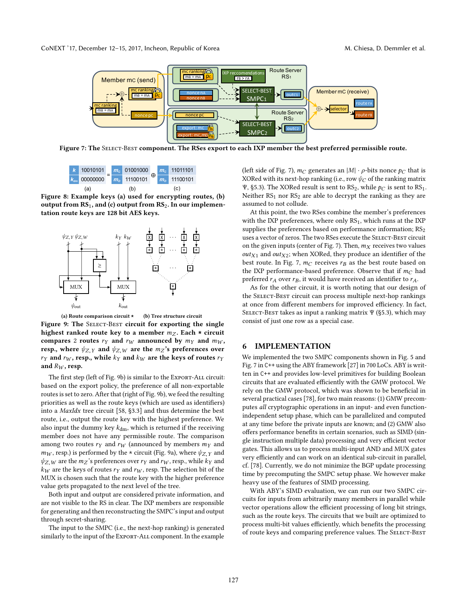<span id="page-7-0"></span>

Figure 7: The Select-Best component. The RSes export to each IXP member the best preferred permissible route.



Figure 8: Example keys (a) used for encrypting routes, (b) output from  $RS<sub>1</sub>$ , and (c) output from  $RS<sub>2</sub>$ . In our implementation route keys are 128 bit AES keys.

<span id="page-7-3"></span><span id="page-7-1"></span>

<span id="page-7-2"></span>(a) Route comparison circuit \* (b) Tree structure circuit Figure 9: The SELECT-BEST circuit for exporting the single highest ranked route key to a member  $m_Z$ . Each  $\star$  circuit compares 2 routes  $r_Y$  and  $r_W$  announced by  $m_Y$  and  $m_W$ , resp., where  $\psi_{Z,Y}$  and  $\psi_{Z,W}$  are the  $m_Z$ 's preferences over  $r_Y$  and  $r_W$ , resp., while  $k_Y$  and  $k_W$  are the keys of routes  $r_Y$ and  $R_W$ , resp.

The first step (left of Fig. [9b\)](#page-7-2) is similar to the Export-ALL circuit: based on the export policy, the preference of all non-exportable routes is set to zero. After that (right of Fig. [9b\)](#page-7-2), we feed the resulting priorities as well as the route keys (which are used as identifiers) into a MaxIdx tree circuit [\[58,](#page-12-31) §3.3] and thus determine the best route, i.e., output the route key with the highest preference. We also input the dummy key  $k_{dm}$ , which is returned if the receiving member does not have any permissible route. The comparison among two routes  $r_Y$  and  $r_W$  (announced by members  $m_Y$  and  $m_W$ , resp.) is performed by the  $*$  circuit (Fig. [9a\)](#page-7-3), where  $\psi_{Z,Y}$  and  $\psi_{Z,W}$  are the  $m_Z$ 's preferences over  $r_Y$  and  $r_W$ , resp., while  $k_Y$  and  $k_W$  are the keys of routes  $r_Y$  and  $r_W$  , resp. The selection bit of the MUX is chosen such that the route key with the higher preference value gets propagated to the next level of the tree.

Both input and output are considered private information, and are not visible to the RS in clear. The IXP members are responsible for generating and then reconstructing the SMPC's input and output through secret-sharing.

The input to the SMPC (i.e., the next-hop ranking) is generated similarly to the input of the Export-ALL component. In the example

(left side of Fig. [7\)](#page-7-0),  $m_C$  generates an  $|M| \cdot \rho$ -bits nonce  $p_C$  that is XORed with its next-hop ranking (i.e., row  $\psi_C$  of the ranking matrix Ψ, [§5.3\)](#page-5-1). The XORed result is sent to RS<sub>2</sub>, while  $p<sub>C</sub>$  is sent to RS<sub>1</sub>. Neither  $RS<sub>1</sub>$  nor  $RS<sub>2</sub>$  are able to decrypt the ranking as they are assumed to not collude.

At this point, the two RSes combine the member's preferences with the IXP preferences, where only  $RS<sub>1</sub>$ , which runs at the IXP supplies the preferences based on performance information;  $RS<sub>2</sub>$ uses a vector of zeros. The two RSes execute the SELECT-BEST circuit on the given inputs (center of Fig. [7\)](#page-7-0). Then,  $m<sub>X</sub>$  receives two values  $out_{X1}$  and  $out_{X2}$ ; when XORed, they produce an identifier of the best route. In Fig. [7,](#page-7-0)  $m_C$  receives  $r_B$  as the best route based on the IXP performance-based preference. Observe that if  $m<sub>C</sub>$  had preferred  $r_A$  over  $r_B$ , it would have received an identifier to  $r_A$ .

As for the other circuit, it is worth noting that our design of the Select-Best circuit can process multiple next-hop rankings at once from different members for improved efficiency. In fact, SELECT-BEST takes as input a ranking matrix  $\Psi$  ([§5.3\)](#page-5-1), which may consist of just one row as a special case.

### 6 IMPLEMENTATION

We implemented the two SMPC components shown in Fig. [5](#page-6-1) and Fig. [7](#page-7-0) in C++ using the ABY framework [\[27\]](#page-12-32) in 700 LoCs. ABY is written in C++ and provides low-level primitives for building Boolean circuits that are evaluated efficiently with the GMW protocol. We rely on the GMW protocol, which was shown to be beneficial in several practical cases [\[78\]](#page-12-33), for two main reasons: (1) GMW precomputes all cryptographic operations in an input- and even functionindependent setup phase, which can be parallelized and computed at any time before the private inputs are known; and (2) GMW also offers performance benefits in certain scenarios, such as SIMD (single instruction multiple data) processing and very efficient vector gates. This allows us to process multi-input AND and MUX gates very efficiently and can work on an identical sub-circuit in parallel, cf. [\[78\]](#page-12-33). Currently, we do not minimize the BGP update processing time by precomputing the SMPC setup phase. We however make heavy use of the features of SIMD processing.

With ABY's SIMD evaluation, we can run our two SMPC circuits for inputs from arbitrarily many members in parallel while vector operations allow the efficient processing of long bit strings, such as the route keys. The circuits that we built are optimized to process multi-bit values efficiently, which benefits the processing of route keys and comparing preference values. The SELECT-BEST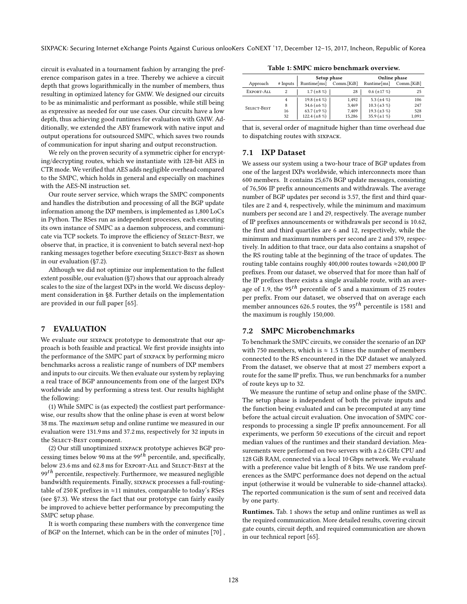circuit is evaluated in a tournament fashion by arranging the preference comparison gates in a tree. Thereby we achieve a circuit depth that grows logarithmically in the number of members, thus resulting in optimized latency for GMW. We designed our circuits to be as minimalistic and performant as possible, while still being as expressive as needed for our use cases. Our circuits have a low depth, thus achieving good runtimes for evaluation with GMW. Additionally, we extended the ABY framework with native input and output operations for outsourced SMPC, which saves two rounds of communication for input sharing and output reconstruction.

We rely on the proven security of a symmetric cipher for encrypting/decrypting routes, which we instantiate with 128-bit AES in CTR mode. We verified that AES adds negligible overhead compared to the SMPC, which holds in general and especially on machines with the AES-NI instruction set.

Our route server service, which wraps the SMPC components and handles the distribution and processing of all the BGP update information among the IXP members, is implemented as 1,800 LoCs in Python. The RSes run as independent processes, each executing its own instance of SMPC as a daemon subprocess, and communicate via TCP sockets. To improve the efficiency of SELECT-BEST, we observe that, in practice, it is convenient to batch several next-hop ranking messages together before executing SELECT-BEST as shown in our evaluation ([§7.2\)](#page-8-0).

Although we did not optimize our implementation to the fullest extent possible, our evaluation ([§7\)](#page-8-1) shows that our approach already scales to the size of the largest IXPs in the world. We discuss deployment consideration in [§8.](#page-10-0) Further details on the implementation are provided in our full paper [\[65\]](#page-12-30).

#### <span id="page-8-1"></span>7 EVALUATION

We evaluate our sixpack prototype to demonstrate that our approach is both feasible and practical. We first provide insights into the performance of the SMPC part of sixpack by performing micro benchmarks across a realistic range of numbers of IXP members and inputs to our circuits. We then evaluate our system by replaying a real trace of BGP announcements from one of the largest IXPs worldwide and by performing a stress test. Our results highlight the following:

(1) While SMPC is (as expected) the costliest part performancewise, our results show that the online phase is even at worst below 38 ms. The maximum setup and online runtime we measured in our evaluation were 131.9 ms and 37.2 ms, respectively for 32 inputs in the SELECT-BEST component.

(2) Our still unoptimized sixpack prototype achieves BGP processing times below 90 ms at the  $99<sup>th</sup>$  percentile, and, specifically, below 23.6 ms and 62.8 ms for Export-ALL and SELECT-BEST at the  $99<sup>th</sup>$  percentile, respectively. Furthermore, we measured negligible bandwidth requirements. Finally, sixpack processes a full-routingtable of 250 K prefixes in  $\approx$ 11 minutes, comparable to today's RSes (see [§7.3\)](#page-9-0). We stress the fact that our prototype can fairly easily be improved to achieve better performance by precomputing the SMPC setup phase.

It is worth comparing these numbers with the convergence time of BGP on the Internet, which can be in the order of minutes [\[70\]](#page-12-34) ,

<span id="page-8-2"></span>

| Table 1. Sivil C Hillio bellumiatik överview. |                |                    |            |                     |            |  |  |
|-----------------------------------------------|----------------|--------------------|------------|---------------------|------------|--|--|
|                                               |                | Setup phase        |            | Online phase        |            |  |  |
| Approach                                      | $#$ Inputs     | Runtime[ms]        | Comm.[KiB] | Runtime[ms]         | Comm.[KiB] |  |  |
| EXPORT-ALL                                    | $\overline{c}$ | 1.7 ( $\pm 8$ %)   | 28         | $0.6 \ (\pm 17 \%)$ | 25         |  |  |
|                                               | 4              | 19.8 $(\pm 4\% )$  | 1.492      | 5.3 $(\pm 4 \%)$    | 106        |  |  |
| <b>SELECT-BEST</b>                            | 8              | 34.6 $(\pm 6 \%)$  | 3,469      | 10.3 ( $\pm 3$ %)   | 247        |  |  |
|                                               | 16             | 63.7 ( $\pm$ 9 %)  | 7.409      | 19.3 $(\pm 3 \%)$   | 528        |  |  |
|                                               | 32             | 122.4 $(\pm 8 \%)$ | 15,286     | 35.9 $(\pm 1\%$     | 1,091      |  |  |

Table 1: SMPC micro benchmark overview.

that is, several order of magnitude higher than time overhead due to dispatching routes with sixpack.

# <span id="page-8-3"></span>7.1 IXP Dataset

We assess our system using a two-hour trace of BGP updates from one of the largest IXPs worldwide, which interconnects more than 600 members. It contains 25,676 BGP update messages, consisting of 76,506 IP prefix announcements and withdrawals. The average number of BGP updates per second is 3.57, the first and third quartiles are 2 and 4, respectively, while the minimum and maximum numbers per second are 1 and 29, respectively. The average number of IP prefixes announcements or withdrawals per second is 10.62, the first and third quartiles are 6 and 12, respectively, while the minimum and maximum numbers per second are 2 and 379, respectively. In addition to that trace, our data also contains a snapshot of the RS routing table at the beginning of the trace of updates. The routing table contains roughly 400,000 routes towards ≈240,000 IP prefixes. From our dataset, we observed that for more than half of the IP prefixes there exists a single available route, with an average of 1.9, the  $95<sup>th</sup>$  percentile of 5 and a maximum of 25 routes per prefix. From our dataset, we observed that on average each member announces 626.5 routes, the  $95<sup>th</sup>$  percentile is 1581 and the maximum is roughly 150,000.

# <span id="page-8-0"></span>7.2 SMPC Microbenchmarks

To benchmark the SMPC circuits, we consider the scenario of an IXP with 750 members, which is  $\approx 1.5$  times the number of members connected to the RS encountered in the IXP dataset we analyzed. From the dataset, we observe that at most 27 members export a route for the same IP prefix. Thus, we run benchmarks for a number of route keys up to 32.

We measure the runtime of setup and online phase of the SMPC. The setup phase is independent of both the private inputs and the function being evaluated and can be precomputed at any time before the actual circuit evaluation. One invocation of SMPC corresponds to processing a single IP prefix announcement. For all experiments, we perform 50 executions of the circuit and report median values of the runtimes and their standard deviation. Measurements were performed on two servers with a 2.6 GHz CPU and 128 GiB RAM, connected via a local 10 Gbps network. We evaluate with a preference value bit length of 8 bits. We use random preferences as the SMPC performance does not depend on the actual input (otherwise it would be vulnerable to side-channel attacks). The reported communication is the sum of sent and received data by one party.

Runtimes. Tab. [1](#page-8-2) shows the setup and online runtimes as well as the required communication. More detailed results, covering circuit gate counts, circuit depth, and required communication are shown in our technical report [\[65\]](#page-12-30).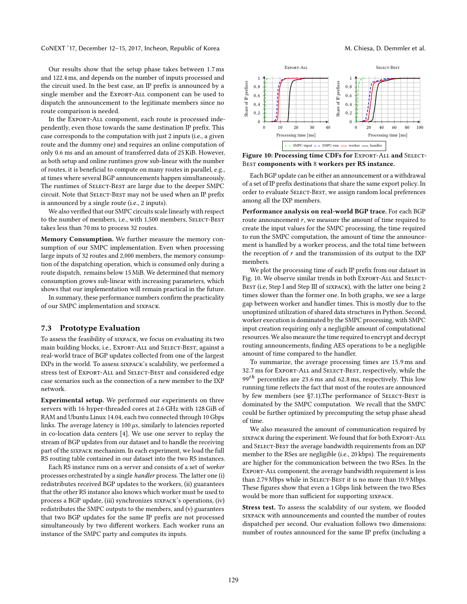Our results show that the setup phase takes between 1.7 ms and 122.4 ms, and depends on the number of inputs processed and the circuit used. In the best case, an IP prefix is announced by a single member and the Export-All component can be used to dispatch the announcement to the legitimate members since no route comparison is needed.

In the Export-All component, each route is processed independently, even those towards the same destination IP prefix. This case corresponds to the computation with just 2 inputs (i.e., a given route and the dummy one) and requires an online computation of only 0.6 ms and an amount of transferred data of 25 KiB. However, as both setup and online runtimes grow sub-linear with the number of routes, it is beneficial to compute on many routes in parallel, e.g., at times where several BGP announcements happen simultaneously. The runtimes of SELECT-BEST are large due to the deeper SMPC circuit. Note that SELECT-BEST may not be used when an IP prefix is announced by a single route (i.e., 2 inputs).

We also verified that our SMPC circuits scale linearly with respect to the number of members, i.e., with 1,500 members, SELECT-BEST takes less than 70 ms to process 32 routes.

Memory Consumption. We further measure the memory consumption of our SMPC implementation. Even when processing large inputs of 32 routes and 2,000 members, the memory consumption of the dispatching operation, which is consumed only during a route dispatch, remains below 15 MiB. We determined that memory consumption grows sub-linear with increasing parameters, which shows that our implementation will remain practical in the future.

In summary, these performance numbers confirm the practicality of our SMPC implementation and sixpack.

#### <span id="page-9-0"></span>7.3 Prototype Evaluation

To assess the feasibility of sixpack, we focus on evaluating its two main building blocks, i.e., Export-ALL and SELECT-BEST, against a real-world trace of BGP updates collected from one of the largest IXPs in the world. To assess sixpack's scalability, we performed a stress test of Export-All and Select-Best and considered edge case scenarios such as the connection of a new member to the IXP network.

Experimental setup. We performed our experiments on three servers with 16 hyper-threaded cores at 2.6 GHz with 128 GiB of RAM and Ubuntu Linux 14.04, each two connected through 10 Gbps links. The average latency is  $100 \mu s$ , similarly to latencies reported in co-location data centers [\[4\]](#page-11-9). We use one server to replay the stream of BGP updates from our dataset and to handle the receiving part of the sixpack mechanism. In each experiment, we load the full RS routing table contained in our dataset into the two RS instances.

Each RS instance runs on a server and consists of a set of worker processes orchestrated by a single handler process. The latter one (i) redistributes received BGP updates to the workers, (ii) guarantees that the other RS instance also knows which worker must be used to process a BGP update, (iii) synchronizes sixpack's operations, (iv) redistributes the SMPC outputs to the members, and (v) guarantees that two BGP updates for the same IP prefix are not processed simultaneously by two different workers. Each worker runs an instance of the SMPC party and computes its inputs.

<span id="page-9-1"></span>

Figure 10: Processing time CDFs for Export-ALL and SELECT-BEST components with 8 workers per RS instance.

Each BGP update can be either an announcement or a withdrawal of a set of IP prefix destinations that share the same export policy. In order to evaluate SELECT-BEST, we assign random local preferences among all the IXP members.

Performance analysis on real-world BGP trace. For each BGP route announcement r, we measure the amount of time required to create the input values for the SMPC processing, the time required to run the SMPC computation, the amount of time the announcement is handled by a worker process, and the total time between the reception of  $r$  and the transmission of its output to the IXP members.

We plot the processing time of each IP prefix from our dataset in Fig. [10.](#page-9-1) We observe similar trends in both Export-ALL and SELECT-BEST (i.e, Step I and Step III of SIXPACK), with the latter one being 2 times slower than the former one. In both graphs, we see a large gap between worker and handler times. This is mostly due to the unoptimized utilization of shared data structures in Python. Second, worker execution is dominated by the SMPC processing, with SMPC input creation requiring only a negligible amount of computational resources. We also measure the time required to encrypt and decrypt routing announcements, finding AES operations to be a negligible amount of time compared to the handler.

To summarize, the average processing times are <sup>15</sup>.<sup>9</sup> ms and <sup>32</sup>.<sup>7</sup> ms for Export-All and Select-Best, respectively, while the  $99<sup>th</sup>$  percentiles are 23.6 ms and 62.8 ms, respectively. This low running time reflects the fact that most of the routes are announced by few members (see [§7.1\)](#page-8-3),The performance of SELECT-BEST is dominated by the SMPC computation. We recall that the SMPC could be further optimized by precomputing the setup phase ahead of time.

We also measured the amount of communication required by sixpack during the experiment. We found that for both Export-All and SELECT-BEST the average bandwidth requirements from an IXP member to the RSes are negligible (i.e., 20 kbps). The requirements are higher for the communication between the two RSes. In the Export-All component, the average bandwidth requirement is less than 2.79 Mbps while in SELECT-BEST it is no more than 10.9 Mbps. These figures show that even a 1 Gbps link between the two RSes would be more than sufficient for supporting sixpack.

Stress test. To assess the scalability of our system, we flooded sixpack with announcements and counted the number of routes dispatched per second. Our evaluation follows two dimensions: number of routes announced for the same IP prefix (including a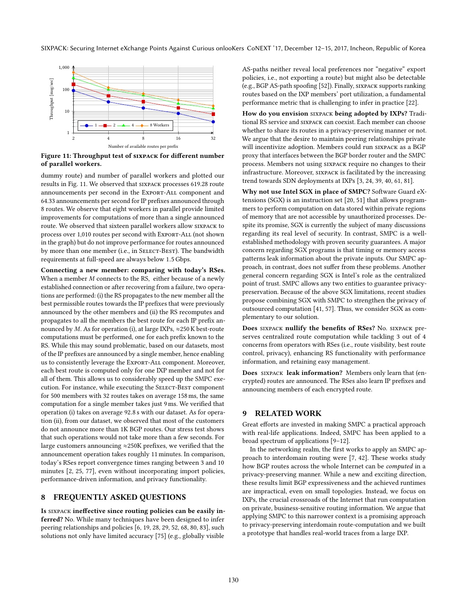<span id="page-10-1"></span>

Figure 11: Throughput test of sixpack for different number of parallel workers.

dummy route) and number of parallel workers and plotted our results in Fig. [11.](#page-10-1) We observed that sixpack processes 619.28 route announcements per second in the Export-All component and 64.33 announcements per second for IP prefixes announced through 8 routes. We observe that eight workers in parallel provide limited improvements for computations of more than a single announced route. We observed that sixteen parallel workers allow sixpack to process over 1,010 routes per second with Export-All (not shown in the graph) but do not improve performance for routes announced by more than one member (i.e., in SELECT-BEST). The bandwidth requirements at full-speed are always below <sup>1</sup>.5Gbps.

Connecting a new member: comparing with today's RSes. When a member M connects to the RS, either because of a newly established connection or after recovering from a failure, two operations are performed: (i) the RS propagates to the new member all the best permissible routes towards the IP prefixes that were previously announced by the other members and (ii) the RS recomputes and propagates to all the members the best route for each IP prefix announced by M. As for operation (i), at large IXPs,  $\approx$  250 K best-route computations must be performed, one for each prefix known to the RS. While this may sound problematic, based on our datasets, most of the IP prefixes are announced by a single member, hence enabling us to consistently leverage the Export-All component. Moreover, each best route is computed only for one IXP member and not for all of them. This allows us to considerably speed up the SMPC execution. For instance, while executing the SELECT-BEST component for 500 members with 32 routes takes on average 158 ms, the same computation for a single member takes just 9 ms. We verified that operation (i) takes on average <sup>92</sup>.<sup>8</sup> s with our dataset. As for operation (ii), from our dataset, we observed that most of the customers do not announce more than 1K BGP routes. Our stress test shows that such operations would not take more than a few seconds. For large customers announcing ≈250K prefixes, we verified that the announcement operation takes roughly 11 minutes. In comparison, today's RSes report convergence times ranging between 3 and 10 minutes [\[2,](#page-11-4) [25,](#page-12-14) [77\]](#page-12-15), even without incorporating import policies, performance-driven information, and privacy functionality.

# <span id="page-10-0"></span>8 FREQUENTLY ASKED QUESTIONS

Is sixpack ineffective since routing policies can be easily inferred? No. While many techniques have been designed to infer peering relationships and policies [\[6,](#page-11-11) [19,](#page-11-12) [28,](#page-12-35) [29,](#page-12-36) [52,](#page-12-37) [68,](#page-12-38) [80,](#page-12-39) [83\]](#page-12-40), such solutions not only have limited accuracy [\[75\]](#page-12-41) (e.g., globally visible

AS-paths neither reveal local preferences nor "negative" export policies, i.e., not exporting a route) but might also be detectable (e.g., BGP AS-path spoofing [\[52\]](#page-12-37)). Finally, sixpack supports ranking routes based on the IXP members' port utilization, a fundamental performance metric that is challenging to infer in practice [\[22\]](#page-11-2).

How do you envision sixpack being adopted by IXPs? Traditional RS service and sixpack can coexist. Each member can choose whether to share its routes in a privacy-preserving manner or not. We argue that the desire to maintain peering relationships private will incentivize adoption. Members could run sixpack as a BGP proxy that interfaces between the BGP border router and the SMPC process. Members not using sixpack require no changes to their infrastructure. Moreover, sixpack is facilitated by the increasing trend towards SDN deployments at IXPs [\[3,](#page-11-13) [24,](#page-11-14) [39,](#page-12-42) [40,](#page-12-43) [61,](#page-12-44) [81\]](#page-12-45).

Why not use Intel SGX in place of SMPC? Software Guard eXtensions (SGX) is an instruction set [\[20,](#page-11-15) [51\]](#page-12-46) that allows programmers to perform computation on data stored within private regions of memory that are not accessible by unauthorized processes. Despite its promise, SGX is currently the subject of many discussions regarding its real level of security. In contrast, SMPC is a wellestablished methodology with proven security guarantees. A major concern regarding SGX programs is that timing or memory access patterns leak information about the private inputs. Our SMPC approach, in contrast, does not suffer from these problems. Another general concern regarding SGX is Intel's role as the centralized point of trust. SMPC allows any two entities to guarantee privacypreservation. Because of the above SGX limitations, recent studies propose combining SGX with SMPC to strengthen the privacy of outsourced computation [\[41,](#page-12-47) [57\]](#page-12-48). Thus, we consider SGX as complementary to our solution.

Does sixpack nullify the benefits of RSes? No. sixpack preserves centralized route computation while tackling 3 out of 4 concerns from operators with RSes (i.e., route visibility, best route control, privacy), enhancing RS functionality with performance information, and retaining easy management.

Does sixpack leak information? Members only learn that (encrypted) routes are announced. The RSes also learn IP prefixes and announcing members of each encrypted route.

# 9 RELATED WORK

Great efforts are invested in making SMPC a practical approach with real-life applications. Indeed, SMPC has been applied to a broad spectrum of applications [\[9–](#page-11-16)[12\]](#page-11-17).

In the networking realm, the first works to apply an SMPC approach to interdomain routing were [\[7,](#page-11-18) [42\]](#page-12-1). These works study how BGP routes across the whole Internet can be computed in a privacy-preserving manner. While a new and exciting direction, these results limit BGP expressiveness and the achieved runtimes are impractical, even on small topologies. Instead, we focus on IXPs, the crucial crossroads of the Internet that run computation on private, business-sensitive routing information. We argue that applying SMPC to this narrower context is a promising approach to privacy-preserving interdomain route-computation and we built a prototype that handles real-world traces from a large IXP.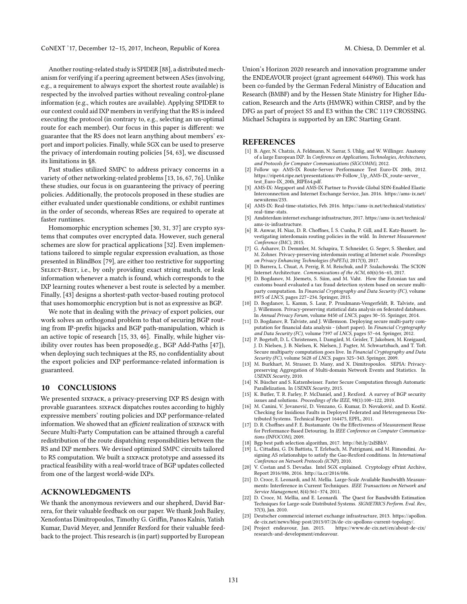Another routing-related study is SPIDER [\[88\]](#page-13-0), a distributed mechanism for verifying if a peering agreement between ASes (involving, e.g., a requirement to always export the shortest route available) is respected by the involved parties without revealing control-plane information (e.g., which routes are available). Applying SPIDER to our context could aid IXP members in verifying that the RS is indeed executing the protocol (in contrary to, e.g., selecting an un-optimal route for each member). Our focus in this paper is different: we guarantee that the RS does not learn anything about members' export and import policies. Finally, while SGX can be used to preserve the privacy of interdomain routing policies [\[54,](#page-12-9) [63\]](#page-12-49), we discussed its limitations in [§8.](#page-10-0)

Past studies utilized SMPC to address privacy concerns in a variety of other networking-related problems [\[13,](#page-11-19) [16,](#page-11-20) [67,](#page-12-12) [76\]](#page-12-50). Unlike these studies, our focus is on guaranteeing the privacy of peering policies. Additionally, the protocols proposed in these studies are either evaluated under questionable conditions, or exhibit runtimes in the order of seconds, whereas RSes are required to operate at faster runtimes.

Homomorphic encryption schemes [\[30,](#page-12-51) [31,](#page-12-52) [37\]](#page-12-53) are crypto systems that computes over encrypted data. However, such general schemes are slow for practical applications [\[32\]](#page-12-54). Even implementations tailored to simple regular expression evaluation, as those presented in BlindBox [\[79\]](#page-12-55), are either too restrictive for supporting SELECT-BEST, i.e., by only providing exact string match, or leak information whenever a match is found, which corresponds to the IXP learning routes whenever a best route is selected by a member. Finally, [\[43\]](#page-12-8) designs a shortest-path vector-based routing protocol that uses homomorphic encryption but is not as expressive as BGP.

We note that in dealing with the *privacy* of export policies, our work solves an orthogonal problem to that of securing BGP routing from IP-prefix hijacks and BGP path-manipulation, which is an active topic of research [\[15,](#page-11-21) [33,](#page-12-56) [46\]](#page-12-57). Finally, while higher visibility over routes has been proposed(e.g., BGP Add-Paths [\[47\]](#page-12-58)), when deploying such techniques at the RS, no confidentiality about the export policies and IXP performance-related information is guaranteed.

# 10 CONCLUSIONS

We presented sixpack, a privacy-preserving IXP RS design with provable guarantees. sixpack dispatches routes according to highly expressive members' routing policies and IXP performance-related information. We showed that an efficient realization of sixpack with Secure Multi-Party Computation can be attained through a careful redistribution of the route dispatching responsibilities between the RS and IXP members. We devised optimized SMPC circuits tailored to RS computation. We built a sixpack prototype and assessed its practical feasibility with a real-world trace of BGP updates collected from one of the largest world-wide IXPs.

# ACKNOWLEDGMENTS

We thank the anonymous reviewers and our shepherd, David Barrera, for their valuable feedback on our paper. We thank Josh Bailey, Xenofontas Dimitropoulos, Timothy G. Griffin, Panos Kalnis, Yatish Kumar, David Meyer, and Jennifer Rexford for their valuable feedback to the project. This research is (in part) supported by European

Union's Horizon 2020 research and innovation programme under the ENDEAVOUR project (grant agreement 644960). This work has been co-funded by the German Federal Ministry of Education and Research (BMBF) and by the Hessen State Ministry for Higher Education, Research and the Arts (HMWK) within CRISP, and by the DFG as part of project S5 and E3 within the CRC 1119 CROSSING. Michael Schapira is supported by an ERC Starting Grant.

#### REFERENCES

- <span id="page-11-7"></span>[1] B. Ager, N. Chatzis, A. Feldmann, N. Sarrar, S. Uhlig, and W. Willinger. Anatomy of a large European IXP. In Conference on Applications, Technologies, Architectures, and Protocols for Computer Communications (SIGCOMM), 2012.
- <span id="page-11-4"></span>Follow up: AMS-IX Route-Server Performance Test Euro-IX 20th, 2012. [https://ripe64.ripe.net/presentations/49-Follow\\_Up\\_AMS-IX\\_route-server\\_](https://ripe64.ripe.net/presentations/49-Follow_Up_AMS-IX_route-server_test_Euro-IX_20th_RIPE64.pdf) [test\\_Euro-IX\\_20th\\_RIPE64.pdf.](https://ripe64.ripe.net/presentations/49-Follow_Up_AMS-IX_route-server_test_Euro-IX_20th_RIPE64.pdf)
- <span id="page-11-13"></span>[3] AMS-IX: Megaport and AMS-IX Partner to Provide Global SDN-Enabled Elastic Interconnection and Internet Exchange Service, Jan. 2016. [https://ams-ix.net/](https://ams-ix.net/newsitems/233) [newsitems/233.](https://ams-ix.net/newsitems/233)
- <span id="page-11-9"></span>[4] AMS-IX: Real-time-statistics, Feb. 2016. [https://ams-ix.net/technical/statistics/](https://ams-ix.net/technical/statistics/real-time-stats) [real-time-stats.](https://ams-ix.net/technical/statistics/real-time-stats)
- <span id="page-11-5"></span>[5] Amdsterdam internet exchange infrastructure, 2017. [https://ams-ix.net/technical/](https://ams-ix.net/technical/ams-ix-infrastructure) [ams-ix-infrastructure.](https://ams-ix.net/technical/ams-ix-infrastructure)
- <span id="page-11-11"></span>[6] R. Anwar, H. Niaz, D. R. Choffnes, Í. S. Cunha, P. Gill, and E. Katz-Bassett. Investigating interdomain routing policies in the wild. In Internet Measurement Conference (IMC), 2015.
- <span id="page-11-18"></span>[7] G. Asharov, D. Demmler, M. Schapira, T. Schneider, G. Segev, S. Shenker, and M. Zohner. Privacy-preserving interdomain routing at Internet scale. Proceedings on Privacy Enhancing Technologies (PoPETs), 2017(3), 2017.
- <span id="page-11-3"></span>[8] D. Barrera, L. Chuat, A. Perrig, R. M. Reischuk, and P. Szalachowski. The SCION Internet Architecture. Communications of the ACM, 60(6):56–65, 2017.
- <span id="page-11-16"></span>[9] D. Bogdanov, M. Jõemets, S. Siim, and M. Vaht. How the Estonian tax and customs board evaluated a tax fraud detection system based on secure multiparty computation. In Financial Cryptography and Data Security (FC), volume 8975 of LNCS, pages 227–234. Springer, 2015.
- [10] D. Bogdanov, L. Kamm, S. Laur, P. Pruulmann-Vengerfeldt, R. Talviste, and J. Willemson. Privacy-preserving statistical data analysis on federated databases. In Annual Privacy Forum, volume 8450 of LNCS, pages 30–55. Springer, 2014.
- [11] D. Bogdanov, R. Talviste, and J. Willemson. Deploying secure multi-party computation for financial data analysis - (short paper). In Financial Cryptography and Data Security (FC), volume 7397 of LNCS, pages 57–64. Springer, 2012.
- <span id="page-11-17"></span>[12] P. Bogetoft, D. L. Christensen, I. Damgård, M. Geisler, T. Jakobsen, M. Krøigaard, J. D. Nielsen, J. B. Nielsen, K. Nielsen, J. Pagter, M. Schwartzbach, and T. Toft. Secure multiparty computation goes live. In Financial Cryptography and Data Security (FC), volume 5628 of LNCS, pages 325-343. Springer, 2009.
- <span id="page-11-19"></span>[13] M. Burkhart, M. Strasser, D. Many, and X. Dimitropoulos. SEPIA: Privacypreserving Aggregation of Multi-domain Network Events and Statistics. In USENIX Security, 2010.
- <span id="page-11-10"></span>[14] N. Büscher and S. Katzenbeisser. Faster Secure Computation through Automatic Parallelization. In USENIX Security, 2015.
- <span id="page-11-21"></span>[15] K. Butler, T. R. Farley, P. McDaniel, and J. Rexford. A survey of BGP security issues and solutions. Proceedings of the IEEE, 98(1):100–122, 2010.
- <span id="page-11-20"></span>[16] M. Canini, V. Jovanović, D. Venzano, G. Kumar, D. Novaković, and D. Kostić. Checking for Insidious Faults in Deployed Federated and Heterogeneous Distributed Systems. Technical Report 164475, EPFL, 2011.
- <span id="page-11-0"></span>[17] D. R. Choffnes and F. E. Bustamante. On the Effectiveness of Measurement Reuse for Performance-Based Detouring. In IEEE Conference on Computer Communications (INFOCOM), 2009.
- <span id="page-11-8"></span>[18] Bgp best path selection algorithm, 2017. [http://bit.ly/2slSBhV.](http://bit.ly/2slSBhV)
- <span id="page-11-12"></span>L. Cittadini, G. Di Battista, T. Erlebach, M. Patrignani, and M. Rimondini. Assigning AS relationships to satisfy the Gao-Rexford conditions. In International Conference on Network Protocols (ICNP), 2010.
- <span id="page-11-15"></span>[20] V. Costan and S. Devadas. Intel SGX explained. Cryptology ePrint Archive, Report 2016/086, 2016. [http://ia.cr/2016/086.](http://ia.cr/2016/086)
- <span id="page-11-1"></span>[21] D. Croce, E. Leonardi, and M. Mellia. Large-Scale Available Bandwidth Measurements: Interference in Current Techniques. IEEE Transactions on Network and Service Management, 8(4):361–374, 2011.
- <span id="page-11-2"></span>[22] D. Croce, M. Mellia, and E. Leonardi. The Quest for Bandwidth Estimation Techniques for Large-scale Distributed Systems. SIGMETRICS Perform. Eval. Rev., 37(3), Jan. 2010.
- <span id="page-11-6"></span>[23] Deutscher commercial internet exchange infrastructure, 2013. [https://apollon.](https://apollon.de-cix.net/news/blog-post/2013/07/26/de-cix-apollons-current-topology/) [de-cix.net/news/blog-post/2013/07/26/de-cix-apollons-current-topology/.](https://apollon.de-cix.net/news/blog-post/2013/07/26/de-cix-apollons-current-topology/)
- <span id="page-11-14"></span>https://www.de-cix.net/en/about-de-cix/ [research-and-development/endeavour.](https://www.de-cix.net/en/about-de-cix/research-and-development/endeavour)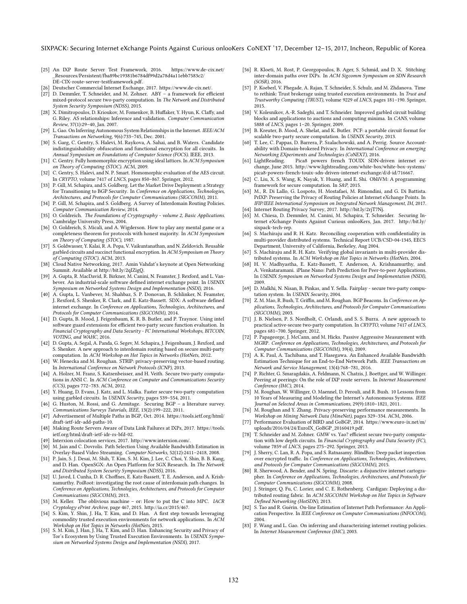- <span id="page-12-14"></span>[25] An IXP Route Server Test Framework, 2016. [https://www.de-cix.net/](https://www.de-cix.net/_Resources/Persistent/fba89bc19381b6784df99d2a78d4a11ebb7583c2/DE-CIX-route-server-testframework.pdf) [\\_Resources/Persistent/fba89bc19381b6784df99d2a78d4a11ebb7583c2/](https://www.de-cix.net/_Resources/Persistent/fba89bc19381b6784df99d2a78d4a11ebb7583c2/DE-CIX-route-server-testframework.pdf) [DE-CIX-route-server-testframework.pdf.](https://www.de-cix.net/_Resources/Persistent/fba89bc19381b6784df99d2a78d4a11ebb7583c2/DE-CIX-route-server-testframework.pdf)
- <span id="page-12-17"></span>[26] Deutscher Commercial Internet Exchange, 2017. [https://www.de-cix.net/.](https://www.de-cix.net/)
- <span id="page-12-32"></span>[27] D. Demmler, T. Schneider, and M. Zohner. ABY – a framework for efficient mixed-protocol secure two-party computation. In The Network and Distributed System Security Symposium (NDSS), 2015.
- <span id="page-12-35"></span>[28] X. Dimitropoulos, D. Krioukov, M. Fomenkov, B. Huffaker, Y. Hyun, K. Claffy, and G. Riley. AS relationships: Inference and validation. Computer Communication Review, 37(1):29–40, Jan. 2007.
- <span id="page-12-36"></span>[29] L. Gao. On Inferring Autonomous System Relationships in the Internet. IEEE/ACM Transactions on Networking, 9(6):733–745, Dec. 2001.
- <span id="page-12-51"></span>[30] S. Garg, C. Gentry, S. Halevi, M. Raykova, A. Sahai, and B. Waters. Candidate indistinguishability obfuscation and functional encryption for all circuits. In Annual Symposium on Foundations of Computer Science (FOCS). IEEE, 2013.
- <span id="page-12-52"></span>[31] C. Gentry. Fully homomorphic encryption using ideal lattices. In ACM Symposium on Theory of Computing (STOC). ACM, 2009.
- <span id="page-12-54"></span>[32] C. Gentry, S. Halevi, and N. P. Smart. Homomorphic evaluation of the AES circuit. In CRYPTO, volume 7417 of LNCS, pages 850–867. Springer, 2012.
- <span id="page-12-56"></span>[33] P. Gill, M. Schapira, and S. Goldberg. Let the Market Drive Deployment: a Strategy for Transitioning to BGP Security. In Conference on Applications, Technologies, Architectures, and Protocols for Computer Communications (SIGCOMM), 2011.
- <span id="page-12-13"></span>[34] P. Gill, M. Schapira, and S. Goldberg. A Survey of Interdomain Routing Policies. Computer Communication Review, 2014.
- <span id="page-12-29"></span>[35] O. Goldreich. The Foundations of Cryptography - volume 2, Basic Applications. Cambridge University Press, 2004.
- <span id="page-12-16"></span>[36] O. Goldreich, S. Micali, and A. Wigderson. How to play any mental game or a completeness theorem for protocols with honest majority. In ACM Symposium on Theory of Computing (STOC), 1987.
- <span id="page-12-53"></span>[37] S. Goldwasser, Y. Kalai, R. A. Popa, V. Vaikuntanathan, and N. Zeldovich. Reusable garbled circuits and succinct functional encryption. In ACM Symposium on Theory of Computing (STOC). ACM, 2013.
- <span id="page-12-7"></span>[38] Cloud Native Networking, 2017. Amin Vahdat's keynote at Open Networking Summit. Available at [http://bit.ly/2qIZigQ.](http://bit.ly/2qIZigQ)
- <span id="page-12-42"></span>[39] A. Gupta, R. MacDavid, R. Birkner, M. Canini, N. Feamster, J. Rexford, and L. Vanbever. An industrial-scale software defined internet exchange point. In USENIX Symposium on Networked Systems Design and Implementation (NSDI), 2016.
- <span id="page-12-43"></span>[40] A. Gupta, L. Vanbever, M. Shahbaz, S. P. Donovan, B. Schlinker, N. Feamster, J. Rexford, S. Shenker, R. Clark, and E. Katz-Bassett. SDX: A software defined internet exchange. In Conference on Applications, Technologies, Architectures, and Protocols for Computer Communications (SIGCOMM), 2014.
- <span id="page-12-47"></span>[41] D. Gupta, B. Mood, J. Feigenbaum, K. R. B. Butler, and P. Traynor. Using intel software guard extensions for efficient two-party secure function evaluation. In Financial Cryptography and Data Security - FC International Workshops, BITCOIN, VOTING, and WAHC, 2016.
- <span id="page-12-1"></span>[42] D. Gupta, A. Segal, A. Panda, G. Segev, M. Schapira, J. Feigenbaum, J. Rexford, and S. Shenker. A new approach to interdomain routing based on secure multi-party computation. In ACM Workshop on Hot Topics in Networks (HotNets, 2012.
- <span id="page-12-8"></span>[43] W. Henecka and M. Roughan. STRIP: privacy-preserving vector-based routing. In International Conference on Network Protocols (ICNP), 2013.
- <span id="page-12-24"></span>[44] A. Holzer, M. Franz, S. Katzenbeisser, and H. Veith. Secure two-party computations in ANSI C. In ACM Conference on Computer and Communications Security (CCS), pages 772–783. ACM, 2012.
- <span id="page-12-25"></span>[45] Y. Huang, D. Evans, J. Katz, and L. Malka. Faster secure two-party computation using garbled circuits. In USENIX Security, pages 539–554, 2011.
- <span id="page-12-57"></span>[46] G. Huston, M. Rossi, and G. Armitage. Securing BGP - a literature survey. Communications Surveys Tutorials, IEEE, 13(2):199–222, 2011.
- <span id="page-12-58"></span>[47] Advertisement of Multiple Paths in BGP, Oct. 2014. [https://tools.ietf.org/html/](https://tools.ietf.org/html/draft-ietf-idr-add-paths-10) [draft-ietf-idr-add-paths-10.](https://tools.ietf.org/html/draft-ietf-idr-add-paths-10)
- <span id="page-12-18"></span>[48] Making Route Servers Aware of Data Link Failures at IXPs, 2017. [https://tools.](https://tools.ietf.org/html/draft-ietf-idr-rs-bfd-02) [ietf.org/html/draft-ietf-idr-rs-bfd-02.](https://tools.ietf.org/html/draft-ietf-idr-rs-bfd-02)
- <span id="page-12-21"></span>[49] Interxion colocation services, 2017. [http://www.interxion.com/.](http://www.interxion.com/)
- <span id="page-12-2"></span>[50] M. Jain and C. Dovrolis. Path Selection Using Available Bandwidth Estimation in Overlay-Based Video Streaming. Computer Networks, 52(12):2411–2418, 2008.
- <span id="page-12-46"></span>[51] P. Jain, S. J. Desai, M. Shih, T. Kim, S. M. Kim, J. Lee, C. Choi, Y. Shin, B. B. Kang, and D. Han. OpenSGX: An Open Platform for SGX Research. In The Network and Distributed System Security Symposium (NDSS), 2016.
- <span id="page-12-37"></span>[52] U. Javed, I. Cunha, D. R. Choffnes, E. Katz-Bassett, T. E. Anderson, and A. Krishnamurthy. PoiRoot: investigating the root cause of interdomain path changes. In Conference on Applications, Technologies, Architectures, and Protocols for Computer Communications (SIGCOMM), 2013.
- <span id="page-12-20"></span>[53] M. Keller. The oblivious machine – or: How to put the C into MPC. IACR Cryptology ePrint Archive, page 467, 2015. [http://ia.cr/2015/467.](http://ia.cr/2015/467)
- <span id="page-12-9"></span>[54] S. Kim, Y. Shin, J. Ha, T. Kim, and D. Han. A first step towards leveraging commodity trusted execution environments for network applications. In ACM
- <span id="page-12-10"></span>Workshop on Hot Topics in Networks (HotNets, 2015. [55] S. M. Kim, J. Han, J. Ha, T. Kim, and D. Han. Enhancing Security and Privacy of Tor's Ecosystem by Using Trusted Execution Environments. In USENIX Symposium on Networked Systems Design and Implementation (NSDI), 2017.
- <span id="page-12-3"></span>[56] R. Kloeti, M. Rost, P. Georgopoulos, B. Ager, S. Schmid, and D. X. Stitching inter-domain paths over IXPs. In ACM Sigcomm Symposium on SDN Research (SOSR), 2016.
- <span id="page-12-48"></span>[57] P. Koeberl, V. Phegade, A. Rajan, T. Schneider, S. Schulz, and M. Zhdanova. Time to rethink: Trust brokerage using trusted execution environments. In Trust and Trustworthy Computing (TRUST), volume 9229 of LNCS, pages 181–190. Springer,
- <span id="page-12-31"></span>2015. [58] V. Kolesnikov, A.-R. Sadeghi, and T. Schneider. Improved garbled circuit building blocks and applications to auctions and computing minima. In CANS, volume 5888 of LNCS, pages 1–20. Springer, 2009.
- <span id="page-12-26"></span>[59] B. Kreuter, B. Mood, A. Shelat, and K. Butler. PCF: a portable circuit format for scalable two-party secure computation. In USENIX Security, 2013.
- <span id="page-12-11"></span>[60] T. Lee, C. Pappas, D. Barrera, P. Szalachowski, and A. Perrig. Source Accountability with Domain-brokered Privacy. In International Conference on emerging Networking EXperiments and Technologies (CoNEXT), 2016.<br>[61] LightReading. Pica8 powers french TOUIX SDN-
- <span id="page-12-44"></span>Pica8 powers french TOUIX SDN-driven internet exchange, June 2015. [http://www.lightreading.com/white-box/white-box-systems/](http://www.lightreading.com/white-box/white-box-systems/pica8-powers-french-touix-sdn-driven-internet-exchange/d/d-id/716667) [pica8-powers-french-touix-sdn-driven-internet-exchange/d/d-id/716667.](http://www.lightreading.com/white-box/white-box-systems/pica8-powers-french-touix-sdn-driven-internet-exchange/d/d-id/716667)
- <span id="page-12-27"></span>[62] C. Liu, X. S. Wang, K. Nayak, Y. Huang, and E. Shi. ObliVM: A programming framework for secure computation. In S&P, 2015.
- <span id="page-12-49"></span>[63] M., R. Di Lallo, G. Lospoto, H. Mostafaei, M. Rimondini, and G. Di Battista. PrIXP: Preserving the Privacy of Routing Policies at Internet eXchange Points. In IFIP/IEEE International Symposium on Integrated Network Management, IM, 2017. [64] Internet Routing Privacy Survey, 2017. [http://bit.ly/2rjT7Nj.](http://bit.ly/2rjT7Nj)
- <span id="page-12-30"></span><span id="page-12-19"></span>[65] M. Chiesa, D. Demmler, M. Canini, M. Schapira, T. Schneider. Securing Internet eXchange Points Against Curious onlooKers, Jan. 2017. [http://bit.ly/](http://bit.ly/sixpack-tech-rep)
- <span id="page-12-22"></span>[sixpack-tech-rep.](http://bit.ly/sixpack-tech-rep) [66] S. Machiraju and R. H. Katz. Reconciling cooperation with confidentiality in
- multi-provider distributed systems. Technical Report UCB/CSD-04-1345, EECS Department, University of California, Berkeley, Aug 2004.
- <span id="page-12-12"></span>[67] S. Machiraju and R. H. Katz. Verifying global invariants in multi-provider distributed systems. In ACM Workshop on Hot Topics in Networks (HotNets, 2004.
- <span id="page-12-38"></span>[68] H. V. Madhyastha, E. Katz-Bassett, T. Anderson, A. Krishnamurthy, and A. Venkataramani. iPlane Nano: Path Prediction for Peer-to-peer Applications. In USENIX Symposium on Networked Systems Design and Implementation (NSDI), 2009.
- <span id="page-12-28"></span>[69] D. Malkhi, N. Nisan, B. Pinkas, and Y. Sella. Fairplay - secure two-party computation system. In USENIX Security, 2004.
- <span id="page-12-34"></span>[70] Z. M. Mao, R. Bush, T. Griffin, and M. Roughan. BGP Beacons. In Conference on Applications, Technologies, Architectures, and Protocols for Computer Communications (SIGCOMM), 2003.
- <span id="page-12-23"></span>[71] J. B. Nielsen, P. S. Nordholt, C. Orlandi, and S. S. Burra. A new approach to practical active-secure two-party computation. In CRYPTO, volume 7417 of LNCS, pages 681–700. Springer, 2012.
- <span id="page-12-4"></span>[72] P. Papageorge, J. McCann, and M. Hicks. Passive Aggressive Measurement with MGRP. Conference on Applications, Technologies, Architectures, and Protocols for Computer Communications (SIGCOMM), 39(4), 2009.
- <span id="page-12-5"></span>[73] A. K. Paul, A. Tachibana, and T. Hasegawa. An Enhanced Available Bandwidth Estimation Technique for an End-to-End Network Path. IEEE Transactions on Network and Service Management, 13(4):768–781, 2016.
- <span id="page-12-0"></span>[74] P. Richter, G. Smaragdakis, A. Feldmann, N. Chatzis, J. Boettger, and W. Willinger. Peering at peerings: On the role of IXP route servers. In Internet Measurement Conference (IMC), 2014.
- <span id="page-12-41"></span>M. Roughan, W. Willinger, O. Maennel, D. Perouli, and R. Bush. 10 Lessons from 10 Years of Measuring and Modeling the Internet's Autonomous Systems. IEEE Journal on Selected Areas in Communications, 29(9):1810–1821, 2011.
- <span id="page-12-50"></span>[76] M. Roughan and Y. Zhang. Privacy-preserving performance measurements. In Workshop on Mining Network Data (MineNet), pages 329–334. ACM, 2006.
- <span id="page-12-15"></span>[77] Performance Evaluation of BIRD and GoBGP, 2014. [https://www.euro-ix.net/m/](https://www.euro-ix.net/m/uploads/2016/04/24/EuroIX_GoBGP_20160419.pdf) [uploads/2016/04/24/EuroIX\\_GoBGP\\_20160419.pdf.](https://www.euro-ix.net/m/uploads/2016/04/24/EuroIX_GoBGP_20160419.pdf)
- <span id="page-12-33"></span>[78] T. Schneider and M. Zohner. GMW vs. Yao? efficient secure two-party computation with low depth circuits. In Financial Cryptography and Data Security (FC), volume 7859 of LNCS, pages 275–292. Springer, 2013.
- <span id="page-12-55"></span>[79] J. Sherry, C. Lan, R. A. Popa, and S. Ratnasamy. BlindBox: Deep packet inspection over encrypted traffic. In Conference on Applications, Technologies, Architectures, and Protocols for Computer Communications (SIGCOMM), 2015.
- <span id="page-12-39"></span>[80] R. Sherwood, A. Bender, and N. Spring. Discarte: a disjunctive internet cartographer. In Conference on Applications, Technologies, Architectures, and Protocols for Computer Communications (SIGCOMM), 2008.
- <span id="page-12-45"></span>[81] J. Stringer, Q. Fu, C. Lorier, and C. E. Rothenberg. Cardigan: Deploying a distributed routing fabric. In ACM SIGCOMM Workshop on Hot Topics in Software Defined Networking (HotSDN), 2013.
- <span id="page-12-6"></span>[82] S. Tao and R. Guérin. On-line Estimation of Internet Path Performance: An Application Perspective. In IEEE Conference on Computer Communications (INFOCOM), 2004.
- <span id="page-12-40"></span>[83] F. Wang and L. Gao. On inferring and characterizing internet routing policies. In Internet Measurement Conference (IMC), 2003.